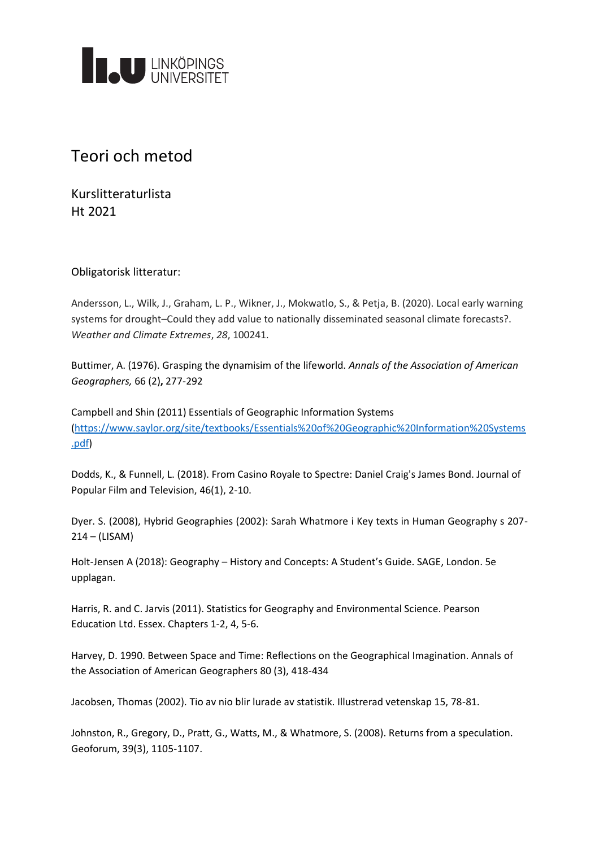

## Teori och metod

Kurslitteraturlista Ht 2021

## Obligatorisk litteratur:

Andersson, L., Wilk, J., Graham, L. P., Wikner, J., Mokwatlo, S., & Petja, B. (2020). Local early warning systems for drought–Could they add value to nationally disseminated seasonal climate forecasts?. *Weather and Climate Extremes*, *28*, 100241.

Buttimer, A. (1976). Grasping the dynamisim of the lifeworld. *Annals of the Association of American Geographers,* 66 (2)**,** 277-292

Campbell and Shin (2011) Essentials of Geographic Information Systems [\(https://www.saylor.org/site/textbooks/Essentials%20of%20Geographic%20Information%20Systems](https://www.saylor.org/site/textbooks/Essentials%20of%20Geographic%20Information%20Systems.pdf) [.pdf\)](https://www.saylor.org/site/textbooks/Essentials%20of%20Geographic%20Information%20Systems.pdf)

Dodds, K., & Funnell, L. (2018). From Casino Royale to Spectre: Daniel Craig's James Bond. Journal of Popular Film and Television, 46(1), 2-10.

Dyer. S. (2008), Hybrid Geographies (2002): Sarah Whatmore i Key texts in Human Geography s 207- 214 – (LISAM)

Holt-Jensen A (2018): Geography – History and Concepts: A Student's Guide. SAGE, London. 5e upplagan.

Harris, R. and C. Jarvis (2011). Statistics for Geography and Environmental Science. Pearson Education Ltd. Essex. Chapters 1-2, 4, 5-6.

Harvey, D. 1990. Between Space and Time: Reflections on the Geographical Imagination. Annals of the Association of American Geographers 80 (3), 418-434

Jacobsen, Thomas (2002). Tio av nio blir lurade av statistik. Illustrerad vetenskap 15, 78-81.

Johnston, R., Gregory, D., Pratt, G., Watts, M., & Whatmore, S. (2008). Returns from a speculation. Geoforum, 39(3), 1105-1107.